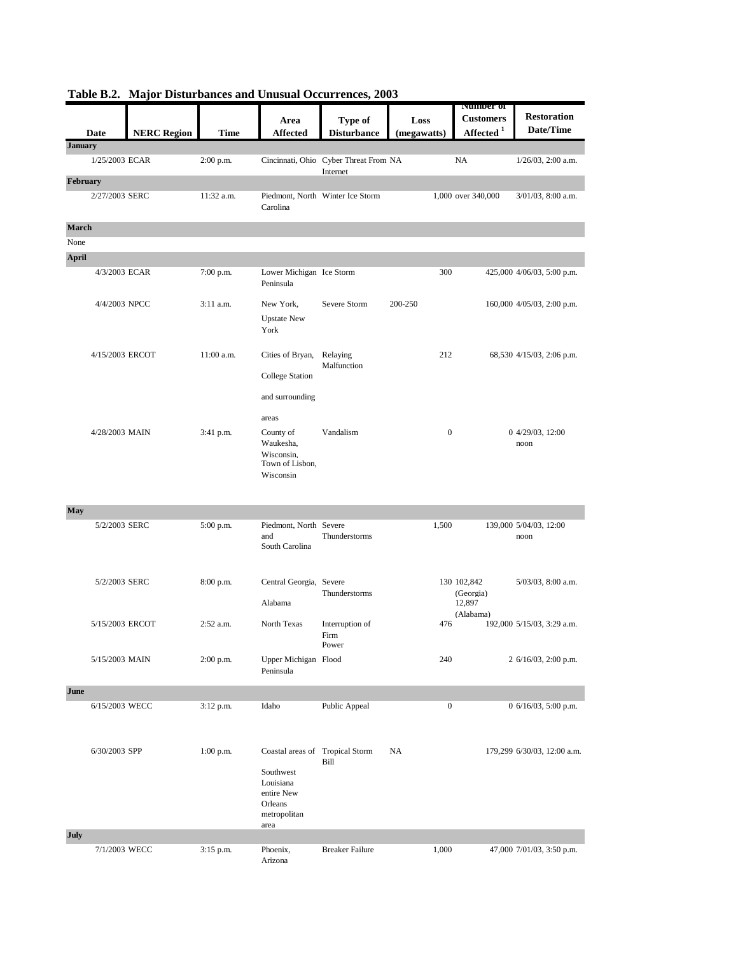| Date            | <b>NERC Region</b> | <b>Time</b> | Area<br><b>Affected</b>                                                                                    | Type of<br><b>Disturbance</b>                     | Loss<br>(megawatts) | Number of<br><b>Customers</b><br>Affected <sup>1</sup> | <b>Restoration</b><br>Date/Time |
|-----------------|--------------------|-------------|------------------------------------------------------------------------------------------------------------|---------------------------------------------------|---------------------|--------------------------------------------------------|---------------------------------|
| <b>January</b>  |                    |             |                                                                                                            |                                                   |                     |                                                        |                                 |
| 1/25/2003 ECAR  |                    | 2:00 p.m.   |                                                                                                            | Cincinnati, Ohio Cyber Threat From NA<br>Internet |                     | NA                                                     | $1/26/03$ , 2:00 a.m.           |
| February        |                    |             |                                                                                                            |                                                   |                     |                                                        |                                 |
| 2/27/2003 SERC  |                    | 11:32 a.m.  | Carolina                                                                                                   | Piedmont, North Winter Ice Storm                  |                     | 1,000 over 340,000                                     | $3/01/03$ , 8:00 a.m.           |
| March           |                    |             |                                                                                                            |                                                   |                     |                                                        |                                 |
| None            |                    |             |                                                                                                            |                                                   |                     |                                                        |                                 |
| <b>April</b>    |                    |             |                                                                                                            |                                                   |                     |                                                        |                                 |
| 4/3/2003 ECAR   |                    | 7:00 p.m.   | Lower Michigan Ice Storm<br>Peninsula                                                                      |                                                   | 300                 |                                                        | 425,000 4/06/03, 5:00 p.m.      |
| 4/4/2003 NPCC   |                    | 3:11 a.m.   | New York,                                                                                                  | Severe Storm                                      | 200-250             |                                                        | 160,000 4/05/03, 2:00 p.m.      |
|                 |                    |             | <b>Upstate New</b><br>York                                                                                 |                                                   |                     |                                                        |                                 |
| 4/15/2003 ERCOT |                    | 11:00 a.m.  | Cities of Bryan,                                                                                           | Relaying<br>Malfunction                           | 212                 |                                                        | 68,530 4/15/03, 2:06 p.m.       |
|                 |                    |             | College Station                                                                                            |                                                   |                     |                                                        |                                 |
|                 |                    |             | and surrounding<br>areas                                                                                   |                                                   |                     |                                                        |                                 |
| 4/28/2003 MAIN  |                    | 3:41 p.m.   | County of<br>Waukesha,<br>Wisconsin,<br>Town of Lisbon,<br>Wisconsin                                       | Vandalism                                         | $\mathbf{0}$        |                                                        | 0 4/29/03, 12:00<br>noon        |
| <b>May</b>      |                    |             |                                                                                                            |                                                   |                     |                                                        |                                 |
| 5/2/2003 SERC   |                    | 5:00 p.m.   | Piedmont, North Severe<br>and<br>South Carolina                                                            | Thunderstorms                                     | 1,500               |                                                        | 139,000 5/04/03, 12:00<br>noon  |
| 5/2/2003 SERC   |                    | 8:00 p.m.   | Central Georgia, Severe<br>Alabama                                                                         | Thunderstorms                                     |                     | 130 102,842<br>(Georgia)<br>12,897                     | $5/03/03$ , 8:00 a.m.           |
| 5/15/2003 ERCOT |                    | 2:52 a.m.   | North Texas                                                                                                | Interruption of<br>Firm<br>Power                  | 476                 | (Alabama)                                              | 192,000 5/15/03, 3:29 a.m.      |
| 5/15/2003 MAIN  |                    | 2:00 p.m.   | Upper Michigan Flood<br>Peninsula                                                                          |                                                   | 240                 |                                                        | 2 6/16/03, 2:00 p.m.            |
| June            |                    |             |                                                                                                            |                                                   |                     |                                                        |                                 |
| 6/15/2003 WECC  |                    | 3:12 p.m.   | Idaho                                                                                                      | Public Appeal                                     | $\boldsymbol{0}$    |                                                        | 0 6/16/03, 5:00 p.m.            |
| 6/30/2003 SPP   |                    | $1:00$ p.m. | Coastal areas of Tropical Storm<br>Southwest<br>Louisiana<br>entire New<br>Orleans<br>metropolitan<br>area | Bill                                              | NA                  |                                                        | 179,299 6/30/03, 12:00 a.m.     |
| <b>July</b>     |                    |             |                                                                                                            |                                                   |                     |                                                        |                                 |
|                 | 7/1/2003 WECC      | 3:15 p.m.   | Phoenix,<br>Arizona                                                                                        | <b>Breaker Failure</b>                            | 1,000               |                                                        | 47,000 7/01/03, 3:50 p.m.       |

## **Table B.2. Major Disturbances and Unusual Occurrences, 2003**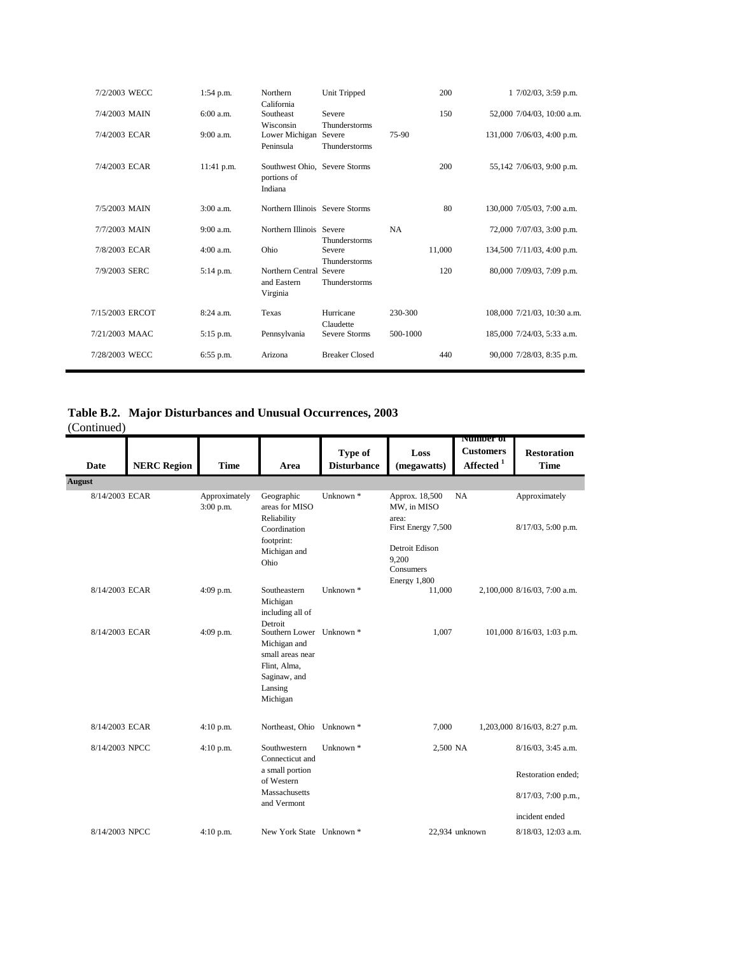| 7/2/2003 WECC   | $1:54$ p.m. | Northern<br>California                                  | Unit Tripped            |           | 200    | 1 7/02/03, 3:59 p.m.        |
|-----------------|-------------|---------------------------------------------------------|-------------------------|-----------|--------|-----------------------------|
| 7/4/2003 MAIN   | $6:00$ a.m. | Southeast<br>Wisconsin                                  | Severe<br>Thunderstorms |           | 150    | 52,000 7/04/03, 10:00 a.m.  |
| 7/4/2003 ECAR   | 9:00a.m.    | Lower Michigan Severe<br>Peninsula                      | Thunderstorms           | 75-90     |        | 131,000 7/06/03, 4:00 p.m.  |
| 7/4/2003 ECAR   | 11:41 p.m.  | Southwest Ohio, Severe Storms<br>portions of<br>Indiana |                         |           | 200    | 55,142 7/06/03, 9:00 p.m.   |
| 7/5/2003 MAIN   | 3:00 a.m.   | Northern Illinois Severe Storms                         |                         |           | 80     | 130,000 7/05/03, 7:00 a.m.  |
| 7/7/2003 MAIN   | 9:00a.m.    | Northern Illinois Severe                                | Thunderstorms           | <b>NA</b> |        | 72,000 7/07/03, 3:00 p.m.   |
| 7/8/2003 ECAR   | $4:00$ a.m. | Ohio                                                    | Severe<br>Thunderstorms |           | 11.000 | 134,500 7/11/03, 4:00 p.m.  |
| 7/9/2003 SERC   | 5:14 p.m.   | Northern Central Severe<br>and Eastern<br>Virginia      | Thunderstorms           |           | 120    | 80,000 7/09/03, 7:09 p.m.   |
| 7/15/2003 ERCOT | $8:24$ a.m. | Texas                                                   | Hurricane<br>Claudette  | 230-300   |        | 108,000 7/21/03, 10:30 a.m. |
| 7/21/2003 MAAC  | $5:15$ p.m. | Pennsylvania                                            | Severe Storms           | 500-1000  |        | 185,000 7/24/03, 5:33 a.m.  |
| 7/28/2003 WECC  | $6:55$ p.m. | Arizona                                                 | <b>Breaker Closed</b>   |           | 440    | 90,000 7/28/03, 8:35 p.m.   |

## **Table B.2. Major Disturbances and Unusual Occurrences, 2003**

(Continued)

| Date           | <b>NERC Region</b> | <b>Time</b>                | Area                                                                                                                | Type of<br><b>Disturbance</b> | Loss<br>(megawatts)                                                                                                  | <b>INUMBER OF</b><br><b>Customers</b><br>Affected $^{\rm 1}$ | <b>Restoration</b><br><b>Time</b>                                                 |
|----------------|--------------------|----------------------------|---------------------------------------------------------------------------------------------------------------------|-------------------------------|----------------------------------------------------------------------------------------------------------------------|--------------------------------------------------------------|-----------------------------------------------------------------------------------|
| <b>August</b>  |                    |                            |                                                                                                                     |                               |                                                                                                                      |                                                              |                                                                                   |
| 8/14/2003 ECAR |                    | Approximately<br>3:00 p.m. | Geographic<br>areas for MISO<br>Reliability<br>Coordination<br>footprint:<br>Michigan and<br>Ohio                   | Unknown <sup>*</sup>          | Approx. 18,500<br>MW, in MISO<br>area:<br>First Energy 7,500<br>Detroit Edison<br>9.200<br>Consumers<br>Energy 1.800 | NA                                                           | Approximately<br>8/17/03, 5:00 p.m.                                               |
| 8/14/2003 ECAR |                    | 4:09 p.m.                  | Southeastern<br>Michigan<br>including all of<br>Detroit                                                             | Unknown <sup>*</sup>          | 11.000                                                                                                               |                                                              | 2,100,000 8/16/03, 7:00 a.m.                                                      |
| 8/14/2003 ECAR |                    | 4:09 p.m.                  | Southern Lower Unknown *<br>Michigan and<br>small areas near<br>Flint, Alma,<br>Saginaw, and<br>Lansing<br>Michigan |                               | 1.007                                                                                                                |                                                              | 101,000 8/16/03, 1:03 p.m.                                                        |
| 8/14/2003 ECAR |                    | 4:10 p.m.                  | Northeast, Ohio Unknown *                                                                                           |                               | 7,000                                                                                                                |                                                              | 1,203,000 8/16/03, 8:27 p.m.                                                      |
| 8/14/2003 NPCC |                    | $4:10$ p.m.                | Southwestern<br>Connecticut and<br>a small portion<br>of Western<br>Massachusetts<br>and Vermont                    | Unknown <sup>*</sup>          | 2,500 NA                                                                                                             |                                                              | 8/16/03, 3:45 a.m.<br>Restoration ended;<br>8/17/03, 7:00 p.m.,<br>incident ended |
| 8/14/2003 NPCC |                    | $4:10$ p.m.                | New York State Unknown *                                                                                            |                               |                                                                                                                      | 22,934 unknown                                               | 8/18/03, 12:03 a.m.                                                               |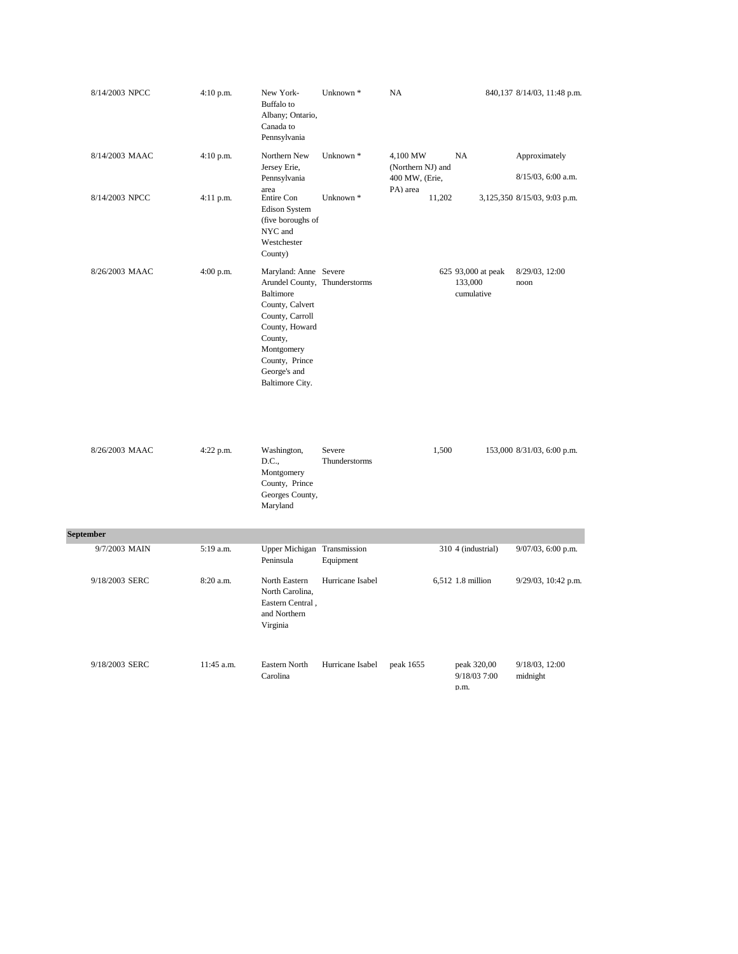| 8/14/2003 NPCC | 4:10 p.m.                                                         | New York-<br>Buffalo to<br>Albany; Ontario,<br>Canada to<br>Pennsylvania                                                                                                                                  | Unknown *                     | NA                         |        |                                             | 840,137 8/14/03, 11:48 p.m.                        |
|----------------|-------------------------------------------------------------------|-----------------------------------------------------------------------------------------------------------------------------------------------------------------------------------------------------------|-------------------------------|----------------------------|--------|---------------------------------------------|----------------------------------------------------|
| 8/14/2003 MAAC | 4:10 p.m.<br>Northern New<br>Unknown <sup>*</sup><br>Jersey Erie, |                                                                                                                                                                                                           | 4,100 MW<br>(Northern NJ) and |                            | NA     | Approximately                               |                                                    |
| 8/14/2003 NPCC | 4:11 p.m.                                                         | Pennsylvania<br>area<br>Entire Con<br><b>Edison System</b><br>(five boroughs of<br>NYC and<br>Westchester<br>County)                                                                                      | Unknown <sup>*</sup>          | 400 MW, (Erie,<br>PA) area | 11,202 |                                             | 8/15/03, 6:00 a.m.<br>3,125,350 8/15/03, 9:03 p.m. |
| 8/26/2003 MAAC | $4:00$ p.m.                                                       | Maryland: Anne Severe<br>Arundel County, Thunderstorms<br>Baltimore<br>County, Calvert<br>County, Carroll<br>County, Howard<br>County,<br>Montgomery<br>County, Prince<br>George's and<br>Baltimore City. |                               |                            |        | 625 93,000 at peak<br>133,000<br>cumulative | 8/29/03, 12:00<br>noon                             |
| 8/26/2003 MAAC | 4:22 p.m.                                                         | Washington,<br>D.C.,<br>Montgomery<br>County, Prince<br>Georges County,<br>Maryland                                                                                                                       | Severe<br>Thunderstorms       |                            | 1,500  |                                             | 153,000 8/31/03, 6:00 p.m.                         |
| September      |                                                                   |                                                                                                                                                                                                           |                               |                            |        |                                             |                                                    |
| 9/7/2003 MAIN  | 5:19 a.m.                                                         | Upper Michigan Transmission<br>Peninsula                                                                                                                                                                  | Equipment                     |                            |        | 310 4 (industrial)                          | $9/07/03$ , 6:00 p.m.                              |
| 9/18/2003 SERC | 8:20 a.m.                                                         | North Eastern<br>North Carolina,<br>Eastern Central,<br>and Northern<br>Virginia                                                                                                                          | Hurricane Isabel              |                            |        | 6,512 1.8 million                           | 9/29/03, 10:42 p.m.                                |
| 9/18/2003 SERC | 11:45 a.m.                                                        | Eastern North<br>Carolina                                                                                                                                                                                 | Hurricane Isabel              | peak 1655                  |        | peak 320,00<br>9/18/03 7:00<br>p.m.         | 9/18/03, 12:00<br>midnight                         |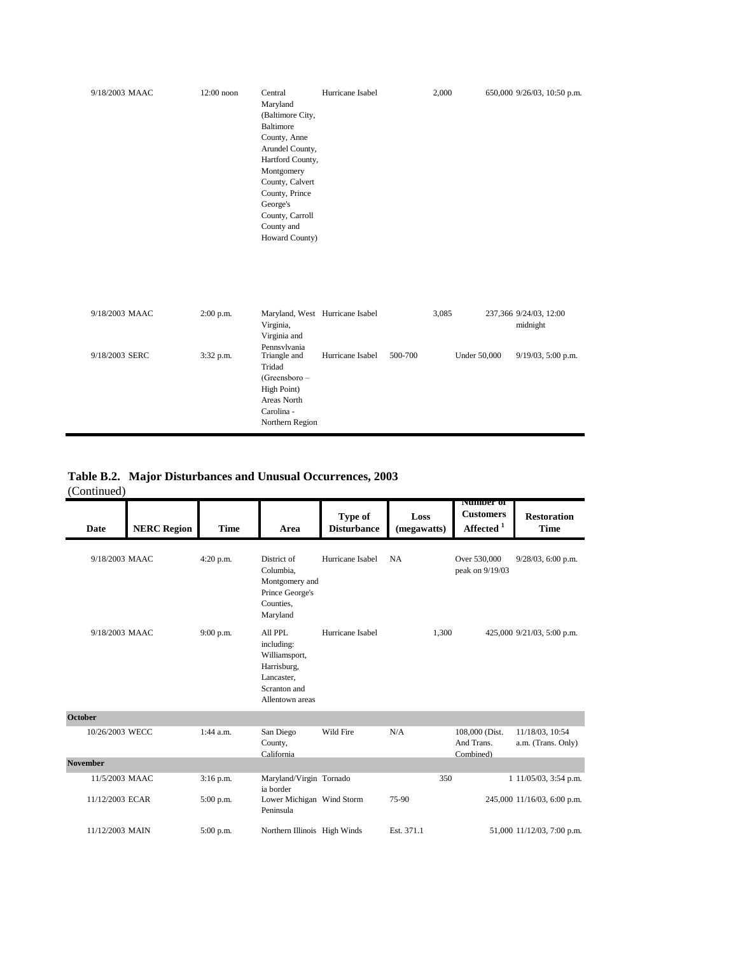| 9/18/2003 MAAC | $12:00$ noon | Central<br>Maryland<br>(Baltimore City,<br>Baltimore<br>County, Anne<br>Arundel County,<br>Hartford County,<br>Montgomery<br>County, Calvert<br>County, Prince<br>George's<br>County, Carroll<br>County and<br>Howard County) | Hurricane Isabel                |         | 2,000 |                     | 650,000 9/26/03, 10:50 p.m.        |
|----------------|--------------|-------------------------------------------------------------------------------------------------------------------------------------------------------------------------------------------------------------------------------|---------------------------------|---------|-------|---------------------|------------------------------------|
| 9/18/2003 MAAC | $2:00$ p.m.  | Virginia,<br>Virginia and                                                                                                                                                                                                     | Maryland, West Hurricane Isabel |         | 3,085 |                     | 237,366 9/24/03, 12:00<br>midnight |
| 9/18/2003 SERC | 3:32 p.m.    | Pennsvlvania<br>Triangle and<br>Tridad<br>$(Green sboro -$<br>High Point)<br>Areas North<br>Carolina -<br>Northern Region                                                                                                     | Hurricane Isabel                | 500-700 |       | <b>Under 50,000</b> | $9/19/03$ , 5:00 p.m.              |

## **Table B.2. Major Disturbances and Unusual Occurrences, 2003**

(Continued)

| Date            | <b>NERC Region</b> | <b>Time</b> | Area                                                                                                    | Type of<br><b>Disturbance</b> | Loss<br>(megawatts) | <b>INUMIDEL OF</b><br><b>Customers</b><br>Affected <sup>1</sup> | <b>Restoration</b><br><b>Time</b>     |
|-----------------|--------------------|-------------|---------------------------------------------------------------------------------------------------------|-------------------------------|---------------------|-----------------------------------------------------------------|---------------------------------------|
| 9/18/2003 MAAC  |                    | 4:20 p.m.   | District of<br>Columbia,<br>Montgomery and<br>Prince George's<br>Counties,<br>Maryland                  | Hurricane Isabel              | <b>NA</b>           | Over 530,000<br>peak on 9/19/03                                 | $9/28/03$ , 6:00 p.m.                 |
| 9/18/2003 MAAC  |                    | 9:00 p.m.   | All PPL.<br>including:<br>Williamsport,<br>Harrisburg,<br>Lancaster,<br>Scranton and<br>Allentown areas | Hurricane Isabel              | 1.300               |                                                                 | 425,000 9/21/03, 5:00 p.m.            |
| <b>October</b>  |                    |             |                                                                                                         |                               |                     |                                                                 |                                       |
| 10/26/2003 WECC |                    | 1:44 a.m.   | San Diego<br>County,<br>California                                                                      | Wild Fire                     | N/A                 | 108,000 (Dist.<br>And Trans.<br>Combined)                       | 11/18/03, 10:54<br>a.m. (Trans. Only) |
| <b>November</b> |                    |             |                                                                                                         |                               |                     |                                                                 |                                       |
| 11/5/2003 MAAC  |                    | 3:16 p.m.   | Maryland/Virgin Tornado<br>ia border                                                                    |                               | 350                 |                                                                 | 1 11/05/03, 3:54 p.m.                 |
| 11/12/2003 ECAR |                    | 5:00 p.m.   | Lower Michigan Wind Storm<br>Peninsula                                                                  |                               | 75-90               |                                                                 | 245,000 11/16/03, 6:00 p.m.           |
| 11/12/2003 MAIN |                    | $5:00$ p.m. | Northern Illinois High Winds                                                                            |                               | Est. 371.1          |                                                                 | 51,000 11/12/03, 7:00 p.m.            |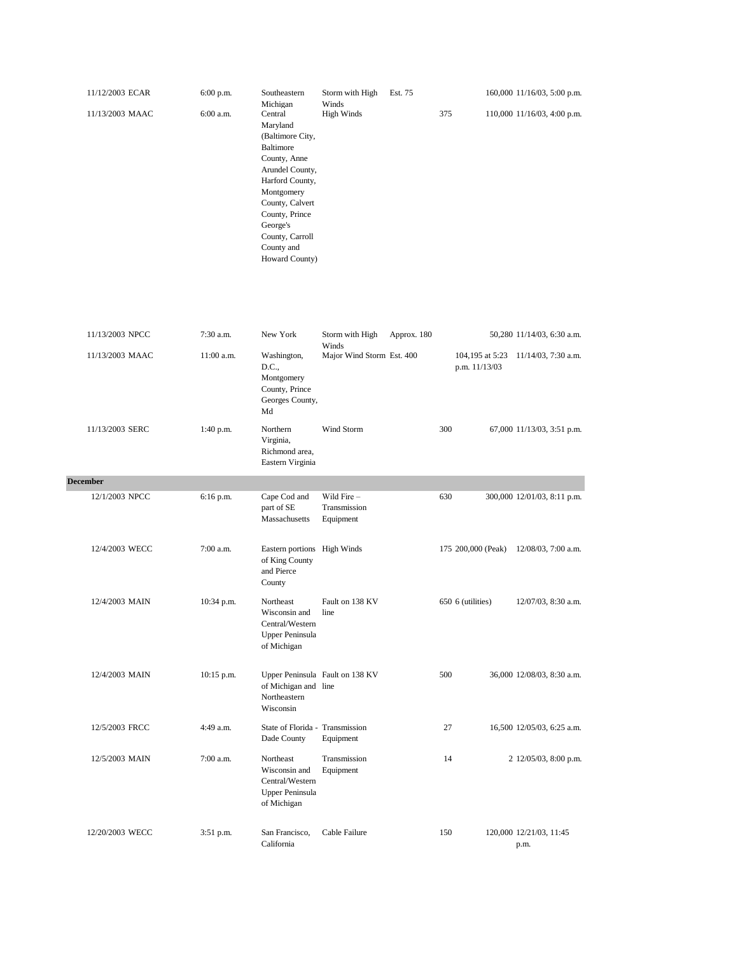| 11/12/2003 ECAR | $6:00$ p.m.                                                                                                                                                                                                                                                    | Southeastern<br>Michigan                                                        | Storm with High<br>Winds                 | Est. 75                            |     |                    | 160,000 11/16/03, 5:00 p.m.         |
|-----------------|----------------------------------------------------------------------------------------------------------------------------------------------------------------------------------------------------------------------------------------------------------------|---------------------------------------------------------------------------------|------------------------------------------|------------------------------------|-----|--------------------|-------------------------------------|
| 11/13/2003 MAAC | 6:00 a.m.<br>Central<br><b>High Winds</b><br>Maryland<br>(Baltimore City,<br>Baltimore<br>County, Anne<br>Arundel County,<br>Harford County,<br>Montgomery<br>County, Calvert<br>County, Prince<br>George's<br>County, Carroll<br>County and<br>Howard County) |                                                                                 |                                          | 375<br>110,000 11/16/03, 4:00 p.m. |     |                    |                                     |
| 11/13/2003 NPCC | 7:30 a.m.                                                                                                                                                                                                                                                      | New York                                                                        | Storm with High                          | Approx. 180                        |     |                    | 50,280 11/14/03, 6:30 a.m.          |
| 11/13/2003 MAAC | 11:00 a.m.                                                                                                                                                                                                                                                     | Washington,<br>D.C.,<br>Montgomery<br>County, Prince<br>Georges County,<br>Md   | Winds<br>Major Wind Storm Est. 400       |                                    |     | p.m. 11/13/03      | 104,195 at 5:23 11/14/03, 7:30 a.m. |
| 11/13/2003 SERC | 1:40 p.m.                                                                                                                                                                                                                                                      | Northern<br>Virginia,<br>Richmond area,<br>Eastern Virginia                     | Wind Storm                               |                                    | 300 |                    | 67,000 11/13/03, 3:51 p.m.          |
| <b>December</b> |                                                                                                                                                                                                                                                                |                                                                                 |                                          |                                    |     |                    |                                     |
| 12/1/2003 NPCC  | 6:16 p.m.                                                                                                                                                                                                                                                      | Cape Cod and<br>part of SE<br>Massachusetts                                     | Wild Fire -<br>Transmission<br>Equipment |                                    | 630 |                    | 300,000 12/01/03, 8:11 p.m.         |
| 12/4/2003 WECC  | 7:00 a.m.                                                                                                                                                                                                                                                      | Eastern portions High Winds<br>of King County<br>and Pierce<br>County           |                                          |                                    |     | 175 200,000 (Peak) | 12/08/03, 7:00 a.m.                 |
| 12/4/2003 MAIN  | 10:34 p.m.                                                                                                                                                                                                                                                     | Northeast<br>Wisconsin and<br>Central/Western<br>Upper Peninsula<br>of Michigan | Fault on 138 KV<br>line                  |                                    |     | 650 6 (utilities)  | 12/07/03, 8:30 a.m.                 |
| 12/4/2003 MAIN  | 10:15 p.m.                                                                                                                                                                                                                                                     | of Michigan and line<br>Northeastern<br>Wisconsin                               | Upper Peninsula Fault on 138 KV          |                                    | 500 |                    | 36,000 12/08/03, 8:30 a.m.          |
| 12/5/2003 FRCC  | 4:49 a.m.                                                                                                                                                                                                                                                      | State of Florida - Transmission<br>Dade County                                  | Equipment                                |                                    | 27  |                    | 16,500 12/05/03, 6:25 a.m.          |
| 12/5/2003 MAIN  | $7:00$ a.m.                                                                                                                                                                                                                                                    | Northeast<br>Wisconsin and<br>Central/Western<br>Upper Peninsula<br>of Michigan | Transmission<br>Equipment                |                                    | 14  |                    | 2 12/05/03, 8:00 p.m.               |
| 12/20/2003 WECC | 3:51 p.m.                                                                                                                                                                                                                                                      | San Francisco,<br>California                                                    | Cable Failure                            |                                    | 150 |                    | 120,000 12/21/03, 11:45<br>p.m.     |